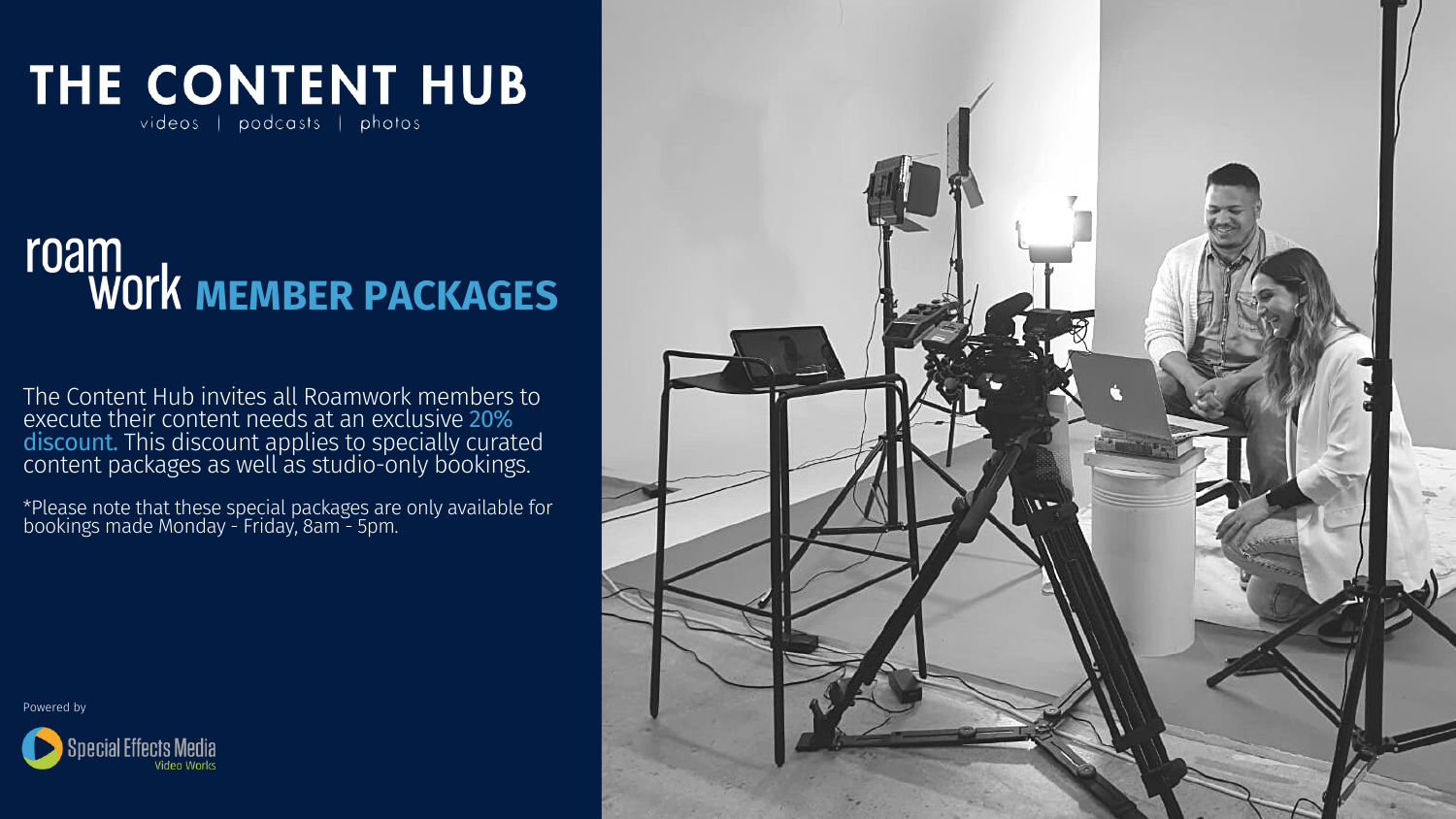\*Please note that these special packages are only available for bookings made Monday - Friday, 8am - 5pm.

Powered by





# THE CONTENT HUB videos | podcasts | photos

# **MEMBER PACKAGES**

The Content Hub invites all Roamwork members to execute their content needs at an exclusive 20% discount. This discount applies to specially curated content packages as well as studio-only bookings.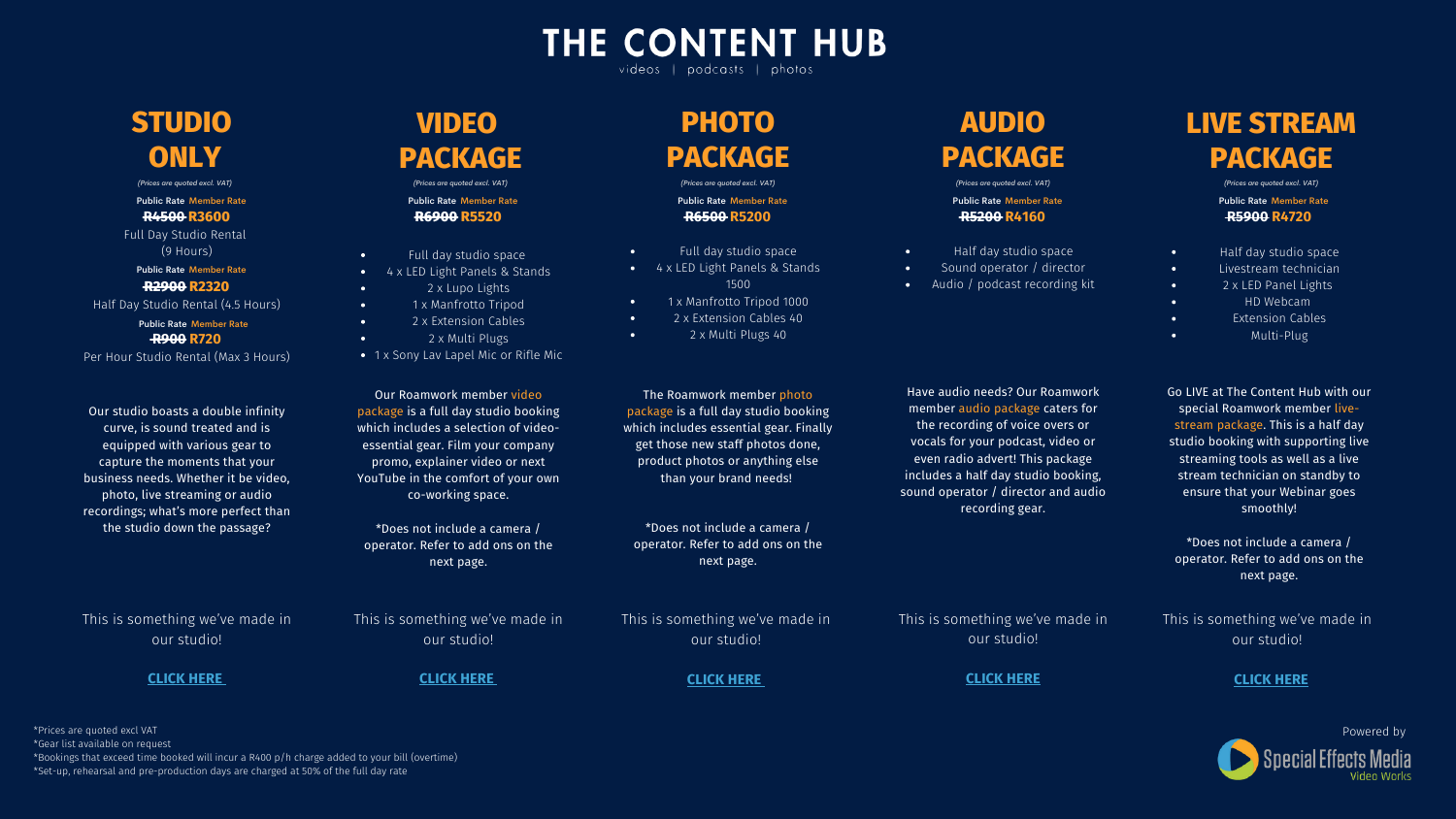## **LIVE STREAM PACKAGE**

- Half day studio space  $\bullet$  .
	- Livestream technician

 $\bullet$  .

 $\bullet$  .

 $\bullet$  .

 $\bullet$ 

 $\bullet$ 

- 2 x LED Panel Lights
- HD Webcam
- Extension Cables
- Multi-Plug

Go LIVE at The Content Hub with our special Roamwork member livestream package. This is a half day studio booking with supporting live streaming tools as well as a live stream technician on standby to ensure that your Webinar goes smoothly!

\*Does not include a camera / operator. Refer to add ons on the next page.



Half day studio space Sound operator / director Audio / podcast recording kit

**R5200 R4160**

 $\bullet$ 

 $\bullet$ 

 $\bullet$ 

Have audio needs? Our Roamwork member audio package caters for the recording of voice overs or vocals for your podcast, video or even radio advert! This package includes a half day studio booking, sound operator / director and audio recording gear.

- 4 x LED Light Panels & Stands  $\bullet$  .
	- 2 x Lupo Lights
	- 1 x Manfrotto Tripod
	- 2 x Extension Cables
	- 2 x Multi Plugs
- 1 x Sony Lav Lapel Mic or Rifle Mic

This is something we've made in our studio!

#### **R4500 R3600**

## **R2900 R2320**

#### **R900 R720**

Per Hour Studio Rental (Max 3 Hours)

- $\bullet$  . Full day studio space
- 4 x LED Light Panels & Stands  $\bullet$  . 1500
- 1 x Manfrotto Tripod 1000  $\bullet$
- 2 x Extension Cables 40  $\bullet$
- $\bullet$ 2 x Multi Plugs 40

## **STUDIO ONLY**

Our studio boasts a double infinity curve, is sound treated and is equipped with various gear to capture the moments that your business needs. Whether it be video, photo, live streaming or audio recordings; what's more perfect than the studio down the passage?

This is something we've made in our studio!

#### **[CLICK](https://speceffectmedia.co.za/studio/) HERE**

## **VIDEO PACKAGE**

Full day studio space

 $\bullet$ 

 $\bullet$ 

 $\bullet$ 

 $\bullet$ 

 $\bullet$ 

**R5900 R4720** Public Rate Member Rate Public Rate Member Rate Public Rate Member Rate Public Rate Member Rate

Our Roamwork member video package is a full day studio booking which includes a selection of videoessential gear. Film your company promo, explainer video or next YouTube in the comfort of your own co-working space.

Full Day Studio Rental (9 Hours) Public Rate Member Rate

Half Day Studio Rental (4.5 Hours) Public Rate Member Rate

> \*Does not include a camera / operator. Refer to add ons on the next page.

This is something we've made in our studio!

#### **[CLICK](https://drive.google.com/file/d/1w3SPglHbm1BMnQp2baKaW0QEDTWTKnsN/view?usp=sharing) HER[E](https://drive.google.com/file/d/1w3SPglHbm1BMnQp2baKaW0QEDTWTKnsN/view?usp=sharing)**

## **PHOTO PACKAGE**

**THE CONTENT HUB** 

videos | podcasts | photos

**[CLICK](https://drive.google.com/file/d/1_R4gFAXmcs5uDPQkSvf-o-MVeOZmpcI-/view) HERE [CLICK](https://www.instagram.com/p/CVCyASVor46/?utm_source=ig_web_copy_link) HER[E](https://www.instagram.com/p/CVCyASVor46/?utm_source=ig_web_copy_link) [CLICK](https://www.youtube.com/watch?v=ylLUoo7TIr8) HERE**

**R6500 R5200**

The Roamwork member photo package is a full day studio booking which includes essential gear. Finally get those new staff photos done, product photos or anything else than your brand needs!

**R6900 R5520** *(Prices are quoted excl. VAT) (Prices are quoted excl. VAT) (Prices are quoted excl. VAT) (Prices are quoted excl. VAT) (Prices are quoted excl. VAT)*

> \*Does not include a camera / operator. Refer to add ons on the next page.

\*Prices are quoted excl VAT

\*Gear list available on request

\*Bookings that exceed time booked will incur a R400 p/h charge added to your bill (overtime)

\*Set-up, rehearsal and pre-production days are charged at 50% of the full day rate



Public Rate Member Rate

This is something we've made in our studio!

### This is something we've made in our studio!